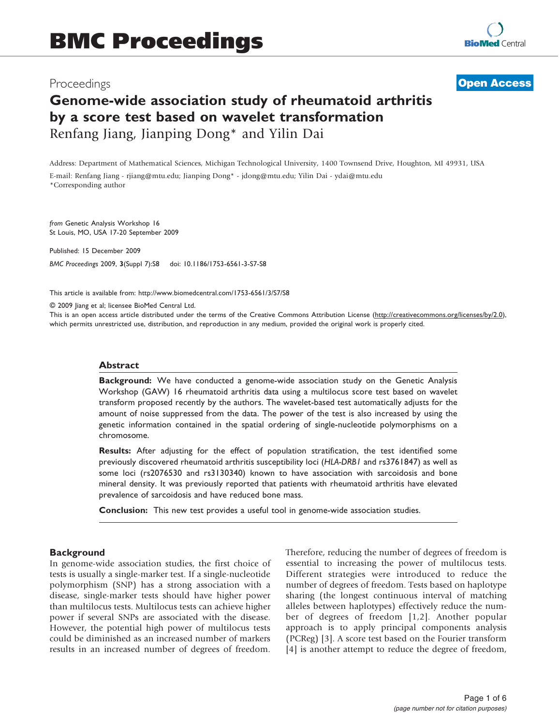## Proceedings

**[Open Access](http://www.biomedcentral.com/info/about/charter/)**

# Genome-wide association study of rheumatoid arthritis by a score test based on wavelet transformation Renfang Jiang, Jianping Dong\* and Yilin Dai

Address: Department of Mathematical Sciences, Michigan Technological University, 1400 Townsend Drive, Houghton, MI 49931, USA E-mail: Renfang Jiang - [rjiang@mtu.edu](mailto:rjiang@mtu.edu); Jianping Dong\* - [jdong@mtu.edu](mailto:jdong@mtu.edu); Yilin Dai - [ydai@mtu.edu](mailto:ydai@mtu.edu) \*Corresponding author

from Genetic Analysis Workshop 16 St Louis, MO, USA 17-20 September 2009

Published: 15 December 2009 BMC Proceedings 2009, 3(Suppl 7):S8 doi: 10.1186/1753-6561-3-S7-S8

This article is available from: http://www.biomedcentral.com/1753-6561/3/S7/S8

© 2009 Jiang et al; licensee BioMed Central Ltd.

This is an open access article distributed under the terms of the Creative Commons Attribution License [\(http://creativecommons.org/licenses/by/2.0\)](http://creativecommons.org/licenses/by/2.0), which permits unrestricted use, distribution, and reproduction in any medium, provided the original work is properly cited.

#### Abstract

Background: We have conducted a genome-wide association study on the Genetic Analysis Workshop (GAW) 16 rheumatoid arthritis data using a multilocus score test based on wavelet transform proposed recently by the authors. The wavelet-based test automatically adjusts for the amount of noise suppressed from the data. The power of the test is also increased by using the genetic information contained in the spatial ordering of single-nucleotide polymorphisms on a chromosome.

Results: After adjusting for the effect of population stratification, the test identified some previously discovered rheumatoid arthritis susceptibility loci (HLA-DRB1 and rs3761847) as well as some loci (rs2076530 and rs3130340) known to have association with sarcoidosis and bone mineral density. It was previously reported that patients with rheumatoid arthritis have elevated prevalence of sarcoidosis and have reduced bone mass.

Conclusion: This new test provides a useful tool in genome-wide association studies.

#### **Background**

In genome-wide association studies, the first choice of tests is usually a single-marker test. If a single-nucleotide polymorphism (SNP) has a strong association with a disease, single-marker tests should have higher power than multilocus tests. Multilocus tests can achieve higher power if several SNPs are associated with the disease. However, the potential high power of multilocus tests could be diminished as an increased number of markers results in an increased number of degrees of freedom. Therefore, reducing the number of degrees of freedom is essential to increasing the power of multilocus tests. Different strategies were introduced to reduce the number of degrees of freedom. Tests based on haplotype sharing (the longest continuous interval of matching alleles between haplotypes) effectively reduce the number of degrees of freedom [[1](#page-4-0),[2\]](#page-4-0). Another popular approach is to apply principal components analysis (PCReg) [\[3\]](#page-4-0). A score test based on the Fourier transform [[4](#page-4-0)] is another attempt to reduce the degree of freedom,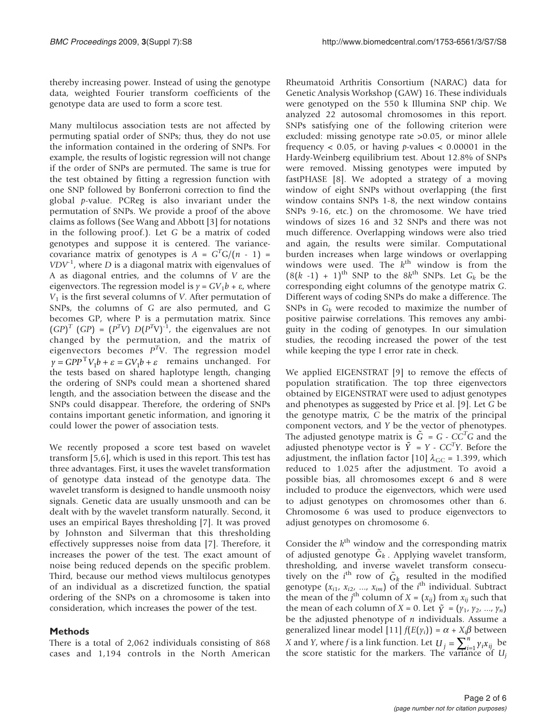thereby increasing power. Instead of using the genotype data, weighted Fourier transform coefficients of the genotype data are used to form a score test.

Many multilocus association tests are not affected by permuting spatial order of SNPs; thus, they do not use the information contained in the ordering of SNPs. For example, the results of logistic regression will not change if the order of SNPs are permuted. The same is true for the test obtained by fitting a regression function with one SNP followed by Bonferroni correction to find the global p-value. PCReg is also invariant under the permutation of SNPs. We provide a proof of the above claims as follows (See Wang and Abbott [[3](#page-4-0)] for notations in the following proof.). Let G be a matrix of coded genotypes and suppose it is centered. The variancecovariance matrix of genotypes is  $A = G<sup>T</sup>G/(n - 1) =$  $VDV<sup>-1</sup>$ , where D is a diagonal matrix with eigenvalues of A as diagonal entries, and the columns of V are the eigenvectors. The regression model is  $y = GV_1b + \varepsilon$ , where  $V_1$  is the first several columns of V. After permutation of SNPs, the columns of G are also permuted, and G becomes GP, where P is a permutation matrix. Since  $(GP)^T$   $(GP) = (P^T V) D(P^T V)^{-1}$ , the eigenvalues are not changed by the permutation, and the matrix of eigenvectors becomes  $P^{T}V$ . The regression model  $\gamma = GPP^{\mathrm{T}}V_1b + \varepsilon = GV_1b + \varepsilon$  remains unchanged. For the tests based on shared haplotype length, changing the ordering of SNPs could mean a shortened shared length, and the association between the disease and the SNPs could disappear. Therefore, the ordering of SNPs contains important genetic information, and ignoring it could lower the power of association tests.

We recently proposed a score test based on wavelet transform [[5](#page-4-0),[6](#page-4-0)], which is used in this report. This test has three advantages. First, it uses the wavelet transformation of genotype data instead of the genotype data. The wavelet transform is designed to handle unsmooth noisy signals. Genetic data are usually unsmooth and can be dealt with by the wavelet transform naturally. Second, it uses an empirical Bayes thresholding [\[7\]](#page-4-0). It was proved by Johnston and Silverman that this thresholding effectively suppresses noise from data [[7](#page-4-0)]. Therefore, it increases the power of the test. The exact amount of noise being reduced depends on the specific problem. Third, because our method views multilocus genotypes of an individual as a discretized function, the spatial ordering of the SNPs on a chromosome is taken into consideration, which increases the power of the test.

## Methods

There is a total of 2,062 individuals consisting of 868 cases and 1,194 controls in the North American

Rheumatoid Arthritis Consortium (NARAC) data for Genetic Analysis Workshop (GAW) 16. These individuals were genotyped on the 550 k Illumina SNP chip. We analyzed 22 autosomal chromosomes in this report. SNPs satisfying one of the following criterion were excluded: missing genotype rate >0.05, or minor allele frequency  $< 0.05$ , or having *p*-values  $< 0.00001$  in the Hardy-Weinberg equilibrium test. About 12.8% of SNPs were removed. Missing genotypes were imputed by fastPHASE [[8](#page-4-0)]. We adopted a strategy of a moving window of eight SNPs without overlapping (the first window contains SNPs 1-8, the next window contains SNPs 9-16, etc.) on the chromosome. We have tried windows of sizes 16 and 32 SNPs and there was not much difference. Overlapping windows were also tried and again, the results were similar. Computational burden increases when large windows or overlapping windows were used. The  $k<sup>th</sup>$  window is from the  $(8(k-1) + 1)$ <sup>th</sup> SNP to the  $8k$ <sup>th</sup> SNPs. Let  $G_k$  be the corresponding eight columns of the genotype matrix G. Different ways of coding SNPs do make a difference. The SNPs in  $G_k$  were recoded to maximize the number of positive pairwise correlations. This removes any ambiguity in the coding of genotypes. In our simulation studies, the recoding increased the power of the test while keeping the type I error rate in check.

We applied EIGENSTRAT [[9](#page-4-0)] to remove the effects of population stratification. The top three eigenvectors obtained by EIGENSTRAT were used to adjust genotypes and phenotypes as suggested by Price et al. [[9\]](#page-4-0). Let G be the genotype matrix, C be the matrix of the principal component vectors, and Y be the vector of phenotypes. The adjusted genotype matrix is  $\tilde{G} = G - CC^T G$  and the adjusted phenotype vector is  $\tilde{Y} = Y - CC^T Y$ . Before the adjustment, the inflation factor [[10\]](#page-4-0)  $\lambda_{\rm GC}$  = 1.399, which reduced to 1.025 after the adjustment. To avoid a possible bias, all chromosomes except 6 and 8 were included to produce the eigenvectors, which were used to adjust genotypes on chromosomes other than 6. Chromosome 6 was used to produce eigenvectors to adjust genotypes on chromosome 6.

Consider the  $k^{\text{th}}$  window and the corresponding matrix of adjusted genotype  $\tilde{G}_k$ . Applying wavelet transform, thresholding, and inverse wavelet transform consecutively on the  $i^{\text{th}}$  row of  $\tilde{G}_k$  resulted in the modified genotype  $(x_{i1}, x_{i2}, \ldots, x_{im})$  of the *i*<sup>th</sup> individual. Subtract the mean of the j<sup>th</sup> column of  $X = (x_{ij})$  from  $x_{ij}$  such that the mean of each column of  $X = 0$ . Let  $\tilde{Y} = (y_1, y_2, ..., y_n)$ be the adjusted phenotype of  $n$  individuals. Assume a generalized linear model [[11\]](#page-4-0)  $f(E(\gamma_i)) = \alpha + X_i \beta$  between *X* and *Y*, where *f* is a link function. Let  $U_j = \sum_{i=1}^n \gamma_i x_{ij}$  be the score statistic for the markers. The variance of  $U_j$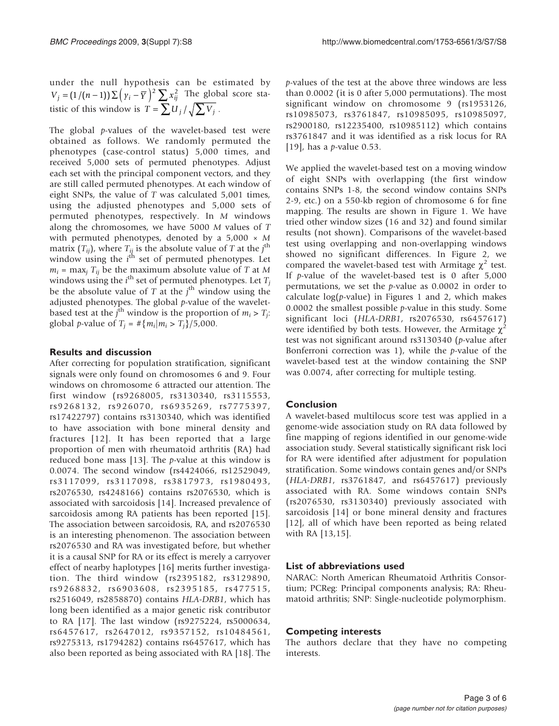under the null hypothesis can be estimated by  $V_j = (1/(n-1)) \sum (y_i - \overline{Y})^2 \sum x_{ij}^2$  The global score statistic of this window is  $T = \sum U_j / \sqrt{\sum V_j}$ .

The global p-values of the wavelet-based test were obtained as follows. We randomly permuted the phenotypes (case-control status) 5,000 times, and received 5,000 sets of permuted phenotypes. Adjust each set with the principal component vectors, and they are still called permuted phenotypes. At each window of eight SNPs, the value of T was calculated 5,001 times, using the adjusted phenotypes and 5,000 sets of permuted phenotypes, respectively. In M windows along the chromosomes, we have 5000 M values of T with permuted phenotypes, denoted by a  $5,000 \times M$ matrix  $(T_{ij})$ , where  $T_{ij}$  is the absolute value of T at the j<sup>th</sup> window using the  $i^{\text{th}}$  set of permuted phenotypes. Let  $m_i$  = max<sub>i</sub>  $T_{ii}$  be the maximum absolute value of T at M windows using the  $i^{\text{th}}$  set of permuted phenotypes. Let  $T_j$ be the absolute value of  $T$  at the  $j<sup>th</sup>$  window using the adjusted phenotypes. The global  $p$ -value of the waveletbased test at the  $j^{\text{th}}$  window is the proportion of  $m_i > T_j$ : global *p*-value of  $T_i = #{m_i|m_i > T_i}/5,000$ .

## Results and discussion

After correcting for population stratification, significant signals were only found on chromosomes 6 and 9. Four windows on chromosome 6 attracted our attention. The first window (rs9268005, rs3130340, rs3115553, rs9268132, rs926070, rs6935269, rs7775397, rs17422797) contains rs3130340, which was identified to have association with bone mineral density and fractures [[12\]](#page-4-0). It has been reported that a large proportion of men with rheumatoid arthritis (RA) had reduced bone mass [\[13](#page-4-0)]. The  $p$ -value at this window is 0.0074. The second window (rs4424066, rs12529049, rs3117099, rs3117098, rs3817973, rs1980493, rs2076530, rs4248166) contains rs2076530, which is associated with sarcoidosis [[14\]](#page-4-0). Increased prevalence of sarcoidosis among RA patients has been reported [\[15](#page-4-0)]. The association between sarcoidosis, RA, and rs2076530 is an interesting phenomenon. The association between rs2076530 and RA was investigated before, but whether it is a causal SNP for RA or its effect is merely a carryover effect of nearby haplotypes [\[16](#page-4-0)] merits further investigation. The third window (rs2395182, rs3129890, rs9268832, rs6903608, rs2395185, rs477515, rs2516049, rs2858870) contains HLA-DRB1, which has long been identified as a major genetic risk contributor to RA [[17](#page-4-0)]. The last window (rs9275224, rs5000634, rs6457617, rs2647012, rs9357152, rs10484561, rs9275313, rs1794282) contains rs6457617, which has also been reported as being associated with RA [[18\]](#page-5-0). The

p-values of the test at the above three windows are less than 0.0002 (it is 0 after 5,000 permutations). The most significant window on chromosome 9 (rs1953126, rs10985073, rs3761847, rs10985095, rs10985097, rs2900180, rs12235400, rs10985112) which contains rs3761847 and it was identified as a risk locus for RA [[19](#page-5-0)], has a *p*-value 0.53.

We applied the wavelet-based test on a moving window of eight SNPs with overlapping (the first window contains SNPs 1-8, the second window contains SNPs 2-9, etc.) on a 550-kb region of chromosome 6 for fine mapping. The results are shown in Figure [1](#page-3-0). We have tried other window sizes (16 and 32) and found similar results (not shown). Comparisons of the wavelet-based test using overlapping and non-overlapping windows showed no significant differences. In Figure [2](#page-4-0), we compared the wavelet-based test with Armitage  $\chi^2$  test. If p-value of the wavelet-based test is 0 after 5,000 permutations, we set the  $p$ -value as 0.0002 in order to calculate  $log(p$ -value) in Figures [1](#page-3-0) and [2](#page-4-0), which makes 0.0002 the smallest possible  $p$ -value in this study. Some significant loci (HLA-DRB1, rs2076530, rs6457617) were identified by both tests. However, the Armitage  $\chi^2$ test was not significant around rs3130340 (p-value after Bonferroni correction was 1), while the  $p$ -value of the wavelet-based test at the window containing the SNP was 0.0074, after correcting for multiple testing.

## Conclusion

A wavelet-based multilocus score test was applied in a genome-wide association study on RA data followed by fine mapping of regions identified in our genome-wide association study. Several statistically significant risk loci for RA were identified after adjustment for population stratification. Some windows contain genes and/or SNPs (HLA-DRB1, rs3761847, and rs6457617) previously associated with RA. Some windows contain SNPs (rs2076530, rs3130340) previously associated with sarcoidosis [[14](#page-4-0)] or bone mineral density and fractures [[12](#page-4-0)], all of which have been reported as being related with RA [\[13](#page-4-0),[15\]](#page-4-0).

## List of abbreviations used

NARAC: North American Rheumatoid Arthritis Consortium; PCReg: Principal components analysis; RA: Rheumatoid arthritis; SNP: Single-nucleotide polymorphism.

## Competing interests

The authors declare that they have no competing interests.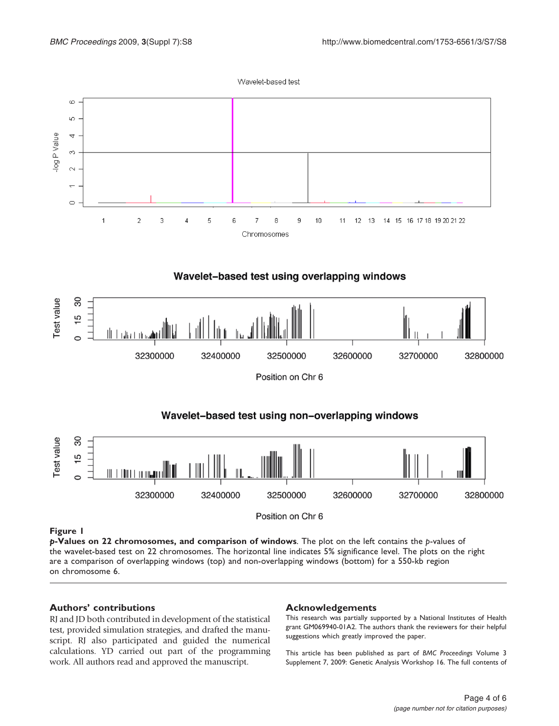

<span id="page-3-0"></span>

## Wavelet-based test using non-overlapping windows



Position on Chr 6

#### Figure 1

 $p$ -Values on 22 chromosomes, and comparison of windows. The plot on the left contains the p-values of the wavelet-based test on 22 chromosomes. The horizontal line indicates 5% significance level. The plots on the right are a comparison of overlapping windows (top) and non-overlapping windows (bottom) for a 550-kb region on chromosome 6.

#### Authors' contributions

RJ and JD both contributed in development of the statistical test, provided simulation strategies, and drafted the manuscript. RJ also participated and guided the numerical calculations. YD carried out part of the programming work. All authors read and approved the manuscript.

#### Acknowledgements

This research was partially supported by a National Institutes of Health grant GM069940-01A2. The authors thank the reviewers for their helpful suggestions which greatly improved the paper.

This article has been published as part of BMC Proceedings Volume 3 Supplement 7, 2009: Genetic Analysis Workshop 16. The full contents of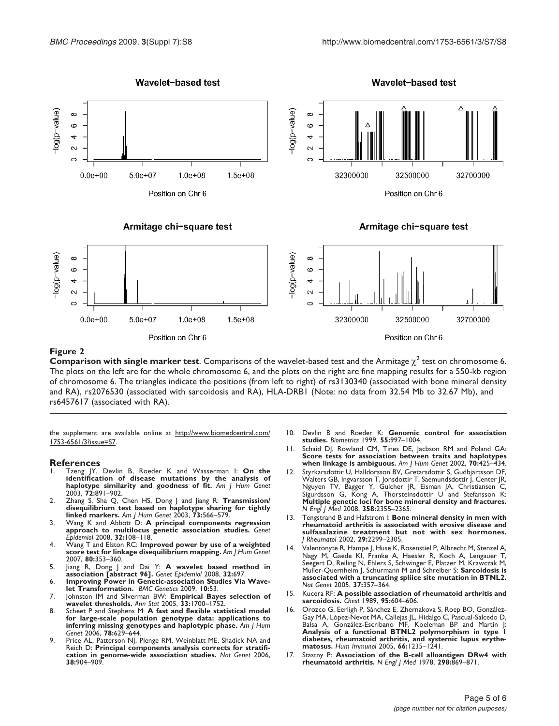<span id="page-4-0"></span>

#### Figure 2

**Comparison with single marker test**. Comparisons of the wavelet-based test and the Armitage  $\chi^2$  test on chromosome 6. The plots on the left are for the whole chromosome 6, and the plots on the right are fine mapping results for a 550-kb region of chromosome 6. The triangles indicate the positions (from left to right) of rs3130340 (associated with bone mineral density and RA), rs2076530 (associated with sarcoidosis and RA), HLA-DRB1 (Note: no data from 32.54 Mb to 32.67 Mb), and rs6457617 (associated with RA).

the supplement are available online at [http://www.biomedcentral.com/](http://www.biomedcentral.com/1753-6561/3?issue=S7) [1753-6561/3?issue=S7](http://www.biomedcentral.com/1753-6561/3?issue=S7).

Position on Chr 6

#### References

- Tzeng JY, Devlin B, Roeder K and Wasserman I: [On the](http://www.ncbi.nlm.nih.gov/pubmed/12610778?dopt=Abstract) [identification of disease mutations by the analysis of](http://www.ncbi.nlm.nih.gov/pubmed/12610778?dopt=Abstract) [haplotype similarity and goodness of fit.](http://www.ncbi.nlm.nih.gov/pubmed/12610778?dopt=Abstract) Am J Hum Genet 2003, 72:891–902.
- 2. Zhang S, Sha Q, Chen HS, Dong J and Jiang R: [Transmission/](http://www.ncbi.nlm.nih.gov/pubmed/12929082?dopt=Abstract) [disequilibrium test based on haplotype sharing for tightly](http://www.ncbi.nlm.nih.gov/pubmed/12929082?dopt=Abstract) [linked markers.](http://www.ncbi.nlm.nih.gov/pubmed/12929082?dopt=Abstract) Am J Hum Genet 2003, 73:566-579
- 3. Wang K and Abbott D: [A principal components regression](http://www.ncbi.nlm.nih.gov/pubmed/17849491?dopt=Abstract) [approach to multilocus genetic association studies.](http://www.ncbi.nlm.nih.gov/pubmed/17849491?dopt=Abstract) Genet **pidemiol 2008, 32:108-118**
- 4. Wang T and Elston RC: [Improved power by use of a weighted](http://www.ncbi.nlm.nih.gov/pubmed/17236140?dopt=Abstract) [score test for linkage disequilibrium mapping.](http://www.ncbi.nlm.nih.gov/pubmed/17236140?dopt=Abstract) Am J Hum Genet 2007, 80:353–360.
- 5. Jiang R, Dong J and Dai Y: **A wavelet based method in**<br>**association [abstract 96].** Genet Epidemiol 2008, 32:697.
- 6. Improving Power in Genetic-association Studies Via Wave-let Transformation. BMC Genetics 2009, 10:53.
- 7. Johnston IM and Silverman BW: Empirical Bayes selection of wavelet thresholds. Ann Stat 2005, 33:1700–1752.
- 8. Scheet P and Stephens M: [A fast and flexible statistical model](http://www.ncbi.nlm.nih.gov/pubmed/16532393?dopt=Abstract) [for large-scale population genotype data: applications to](http://www.ncbi.nlm.nih.gov/pubmed/16532393?dopt=Abstract) [inferring missing genotypes and haplotypic phase.](http://www.ncbi.nlm.nih.gov/pubmed/16532393?dopt=Abstract) Am J Hum Genet 2006, 78:629–644.
- 9. Price AL, Patterson NJ, Plenge RM, Weinblatt ME, Shadick NA and Reich D: [Principal components analysis corrects for stratifi](http://www.ncbi.nlm.nih.gov/pubmed/16862161?dopt=Abstract)[cation in genome-wide association studies.](http://www.ncbi.nlm.nih.gov/pubmed/16862161?dopt=Abstract) Nat Genet 2006, 38:904–909.

10. Devlin B and Roeder K: [Genomic control for association](http://www.ncbi.nlm.nih.gov/pubmed/11315092?dopt=Abstract) [studies.](http://www.ncbi.nlm.nih.gov/pubmed/11315092?dopt=Abstract) Biometrics 1999, 55:997–1004.

Position on Chr 6

- 11. Schaid DJ, Rowland CM, Tines DE, Jacbson RM and Poland GA: [Score tests for association between traits and haplotypes](http://www.ncbi.nlm.nih.gov/pubmed/11791212?dopt=Abstract) [when linkage is ambiguous.](http://www.ncbi.nlm.nih.gov/pubmed/11791212?dopt=Abstract) Am J Hum Genet 2002, 70:425-434.
- Styrkarsdottir U, Halldorsson BV, Gretarsdottir S, Gudbjartsson DF, Walters GB, Ingvarsson T, Jonsdottir T, Saemundsdottir J, Center JR.<br>Nguyen TV, Bagger Y, Gulcher JR, Eisman JA, Christiansen C.<br>Sigurdsson G, Kong A, Thorsteinsdottir U and Stefansson K.<br>**Multiple genetic loci for bone mi** N Engl J Med 2008, 358:2355–2365.
- Tengstrand B and Hafstrom I: [Bone mineral density in men with](http://www.ncbi.nlm.nih.gov/pubmed/12415584?dopt=Abstract) [rheumatoid arthritis is associated with erosive disease and](http://www.ncbi.nlm.nih.gov/pubmed/12415584?dopt=Abstract) [sulfasalazine treatment but not with sex hormones.](http://www.ncbi.nlm.nih.gov/pubmed/12415584?dopt=Abstract) J Rheumatol 2002, 29:2299–2305.
- Valentonyte R, Hampe J, Huse K, Rosenstiel P, Albrecht M, Stenzel A, Nagy M, Gaede KI, Franke A, Haesler R, Koch A, Lengauer T, Seegert D, Reiling N, Ehlers S, Schwinger E, Platzer M, Krawczak M, Muller-Quernheim J, Schurmann M and Schreiber S: [Sarcoidosis is](http://www.ncbi.nlm.nih.gov/pubmed/15735647?dopt=Abstract) [associated with a truncating spliice site mutation in BTNL2.](http://www.ncbi.nlm.nih.gov/pubmed/15735647?dopt=Abstract) Nat Genet 2005, 37:357–364.
- 15. Kucera RF: [A possible association of rheumatoid arthritis and](http://www.ncbi.nlm.nih.gov/pubmed/2920589?dopt=Abstract) [sarcoidosis.](http://www.ncbi.nlm.nih.gov/pubmed/2920589?dopt=Abstract) Chest 1989, 95:604–606.
- 16. Orozco G, Eerligh P, Sánchez E, Zhernakova S, Roep BO, González-Gay MA, López-Nevot MA, Callejas JL, Hidalgo C, Pascual-Salcedo D.<br>Balsa A, González-Escribano MF, Koeleman BP and Martín J:<br>**Analysis of a functional BTNL2 polymorphism in type l** [diabetes, rheumatoid arthritis, and systemic lupus erythe](http://www.ncbi.nlm.nih.gov/pubmed/16690410?dopt=Abstract)[matosus.](http://www.ncbi.nlm.nih.gov/pubmed/16690410?dopt=Abstract) Hum Immunol 2005, 66:1235–1241.
- Stastny P: [Association of the B-cell alloantigen DRw4 with](http://www.ncbi.nlm.nih.gov/pubmed/147420?dopt=Abstract) [rheumatoid arthritis.](http://www.ncbi.nlm.nih.gov/pubmed/147420?dopt=Abstract) N Engl J Med 1978,  $298:869-871$ .